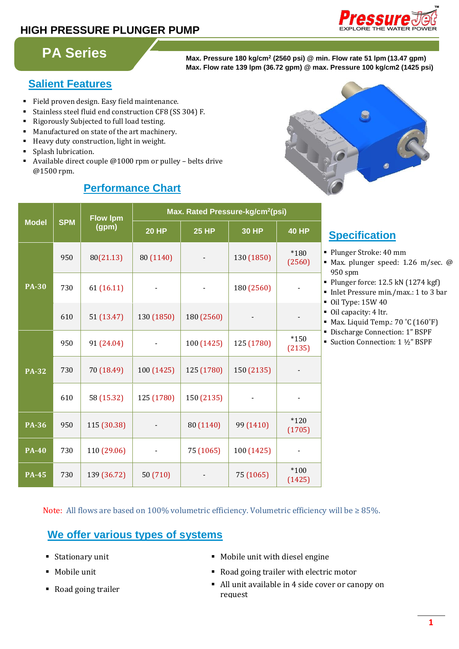## **HIGH PRESSURE PLUNGER PUMP**



# **PA Series**

**Max. Pressure 180 kg/cm<sup>2</sup> (2560 psi) @ min. Flow rate 51 lpm (13.47 gpm) Max. Flow rate 139 lpm (36.72 gpm) @ max. Pressure 100 kg/cm2 (1425 psi)**

## **Salient Features**

- Field proven design. Easy field maintenance.
- Stainless steel fluid end construction CF8 (SS 304) F.
- Rigorously Subjected to full load testing.
- Manufactured on state of the art machinery.
- Heavy duty construction, light in weight.
- Splash lubrication.
- Available direct couple @1000 rpm or pulley belts drive @1500 rpm.

## **Performance Chart**



| <b>Model</b> | <b>SPM</b> | <b>Flow Ipm</b><br>(gpm) | Max. Rated Pressure-kg/cm <sup>2</sup> (psi) |              |              |                  |
|--------------|------------|--------------------------|----------------------------------------------|--------------|--------------|------------------|
|              |            |                          | <b>20 HP</b>                                 | <b>25 HP</b> | <b>30 HP</b> | <b>40 HP</b>     |
|              | 950        | 80(21.13)                | 80 (1140)                                    |              | 130 (1850)   | *180<br>(2560)   |
| <b>PA-30</b> | 730        | 61 (16.11)               |                                              |              | 180 (2560)   |                  |
|              | 610        | 51 (13.47)               | 130 (1850)                                   | 180 (2560)   |              |                  |
|              | 950        | 91 (24.04)               |                                              | 100 (1425)   | 125 (1780)   | $*150$<br>(2135) |
| <b>PA-32</b> | 730        | 70 (18.49)               | 100 (1425)                                   | 125 (1780)   | 150 (2135)   |                  |
|              | 610        | 58 (15.32)               | 125 (1780)                                   | 150 (2135)   |              |                  |
| <b>PA-36</b> | 950        | 115 (30.38)              |                                              | 80 (1140)    | 99 (1410)    | $*120$<br>(1705) |
| <b>PA-40</b> | 730        | 110 (29.06)              |                                              | 75 (1065)    | 100 (1425)   |                  |
| <b>PA-45</b> | 730        | 139 (36.72)              | 50 (710)                                     |              | 75 (1065)    | $*100$<br>(1425) |

## **Specification:**

- Plunger Stroke: 40 mm
- Max. plunger speed: 1.26 m/sec. @ 950 spm
- Plunger force: 12.5 kN (1274 kgf)
- Inlet Pressure min./max.: 1 to 3 bar
- Oil Type: 15W 40
- Oil capacity: 4 ltr.
- Max. Liquid Temp.: 70 °C (160°F)
- Discharge Connection: 1" BSPF
- Suction Connection: 1 ½" BSPF

Note: All flows are based on 100% volumetric efficiency. Volumetric efficiency will be  $\geq 85$ %.

## **We offer various types of systems**

- 
- 
- 
- Stationary unit Mobile unit with diesel engine
- Mobile unit **and Road going trailer with electric motor**
- Road going trailer <br>
All unit available in 4 side cover or canopy on request